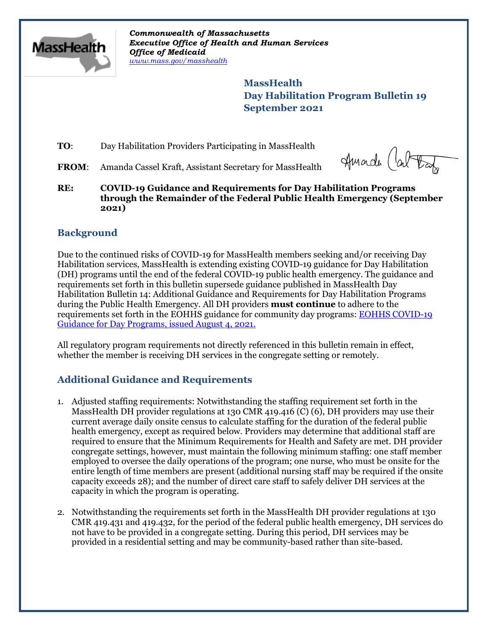

*Commonwealth of Massachusetts Executive Office of Health and Human Services Office of Medicaid [www.mass.gov/masshealth](http://www.mass.gov/masshealth)*

> **MassHealth Day Habilitation Program Bulletin 19 September 2021**

**TO:** Day Habilitation Providers Participating in MassHealth

FROM: Amanda Cassel Kraft, Assistant Secretary for MassHealth

Huade (about

**RE: COVID-19 Guidance and Requirements for Day Habilitation Programs through the Remainder of the Federal Public Health Emergency (September 2021)**

## **Background**

Due to the continued risks of COVID-19 for MassHealth members seeking and/or receiving Day Habilitation services, MassHealth is extending existing COVID-19 guidance for Day Habilitation (DH) programs until the end of the federal COVID-19 public health emergency. The guidance and requirements set forth in this bulletin supersede guidance published in MassHealth Day Habilitation Bulletin 14: Additional Guidance and Requirements for Day Habilitation Programs during the Public Health Emergency*.* All DH providers **must continue** to adhere to the requirements set forth in the EOHHS guidance for community day programs: [EOHHS COVID-19](https://www.mass.gov/info-details/covid-19-public-health-guidance-and-directives)  [Guidance for Day Programs, issued August 4, 2021.](https://www.mass.gov/info-details/covid-19-public-health-guidance-and-directives)

All regulatory program requirements not directly referenced in this bulletin remain in effect, whether the member is receiving DH services in the congregate setting or remotely.

# **Additional Guidance and Requirements**

- 1. Adjusted staffing requirements: Notwithstanding the staffing requirement set forth in the MassHealth DH provider regulations at 130 CMR 419.416 (C) (6), DH providers may use their current average daily onsite census to calculate staffing for the duration of the federal public health emergency, except as required below. Providers may determine that additional staff are required to ensure that the Minimum Requirements for Health and Safety are met. DH provider congregate settings, however, must maintain the following minimum staffing: one staff member employed to oversee the daily operations of the program; one nurse, who must be onsite for the entire length of time members are present (additional nursing staff may be required if the onsite capacity exceeds 28); and the number of direct care staff to safely deliver DH services at the capacity in which the program is operating.
- 2. Notwithstanding the requirements set forth in the MassHealth DH provider regulations at 130 CMR 419.431 and 419.432, for the period of the federal public health emergency, DH services do not have to be provided in a congregate setting. During this period, DH services may be provided in a residential setting and may be community-based rather than site-based.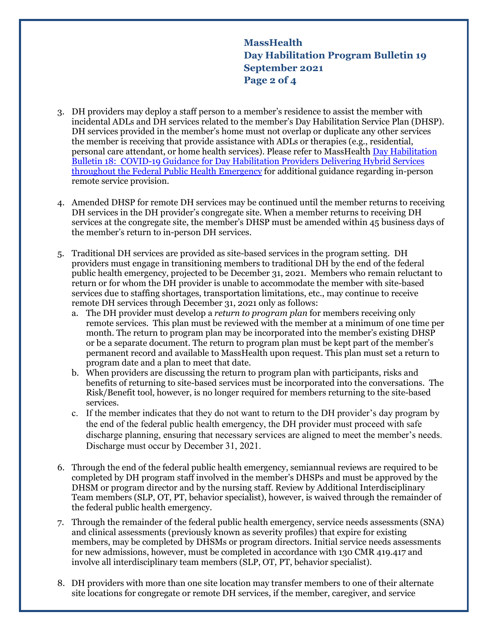**MassHealth Day Habilitation Program Bulletin 19 September 2021 Page 2 of 4**

- 3. DH providers may deploy a staff person to a member's residence to assist the member with incidental ADLs and DH services related to the member's Day Habilitation Service Plan (DHSP). DH services provided in the member's home must not overlap or duplicate any other services the member is receiving that provide assistance with ADLs or therapies (e.g., residential, personal care attendant, or home health services). Please refer to MassHealt[h Day Habilitation](https://www.mass.gov/lists/masshealth-provider-bulletins-by-provider-type-d-h)  [Bulletin 18: COVID-19 Guidance for Day Habilitation Providers Delivering Hybrid Services](https://www.mass.gov/lists/masshealth-provider-bulletins-by-provider-type-d-h)  [throughout the Federal Public Health Emergency](https://www.mass.gov/lists/masshealth-provider-bulletins-by-provider-type-d-h) for additional guidance regarding in-person remote service provision.
- 4. Amended DHSP for remote DH services may be continued until the member returns to receiving DH services in the DH provider's congregate site. When a member returns to receiving DH services at the congregate site, the member's DHSP must be amended within 45 business days of the member's return to in-person DH services.
- 5. Traditional DH services are provided as site-based services in the program setting. DH providers must engage in transitioning members to traditional DH by the end of the federal public health emergency, projected to be December 31, 2021. Members who remain reluctant to return or for whom the DH provider is unable to accommodate the member with site-based services due to staffing shortages, transportation limitations, etc., may continue to receive remote DH services through December 31, 2021 only as follows:
	- a. The DH provider must develop a *return to program plan* for members receiving only remote services. This plan must be reviewed with the member at a minimum of one time per month. The return to program plan may be incorporated into the member's existing DHSP or be a separate document. The return to program plan must be kept part of the member's permanent record and available to MassHealth upon request. This plan must set a return to program date and a plan to meet that date.
	- b. When providers are discussing the return to program plan with participants, risks and benefits of returning to site-based services must be incorporated into the conversations. The Risk/Benefit tool, however, is no longer required for members returning to the site-based services.
	- c. If the member indicates that they do not want to return to the DH provider's day program by the end of the federal public health emergency, the DH provider must proceed with safe discharge planning, ensuring that necessary services are aligned to meet the member's needs. Discharge must occur by December 31, 2021.
- 6. Through the end of the federal public health emergency, semiannual reviews are required to be completed by DH program staff involved in the member's DHSPs and must be approved by the DHSM or program director and by the nursing staff. Review by Additional Interdisciplinary Team members (SLP, OT, PT, behavior specialist), however, is waived through the remainder of the federal public health emergency.
- 7. Through the remainder of the federal public health emergency, service needs assessments (SNA) and clinical assessments (previously known as severity profiles) that expire for existing members, may be completed by DHSMs or program directors. Initial service needs assessments for new admissions, however, must be completed in accordance with 130 CMR 419.417 and involve all interdisciplinary team members (SLP, OT, PT, behavior specialist).
- 8. DH providers with more than one site location may transfer members to one of their alternate site locations for congregate or remote DH services, if the member, caregiver, and service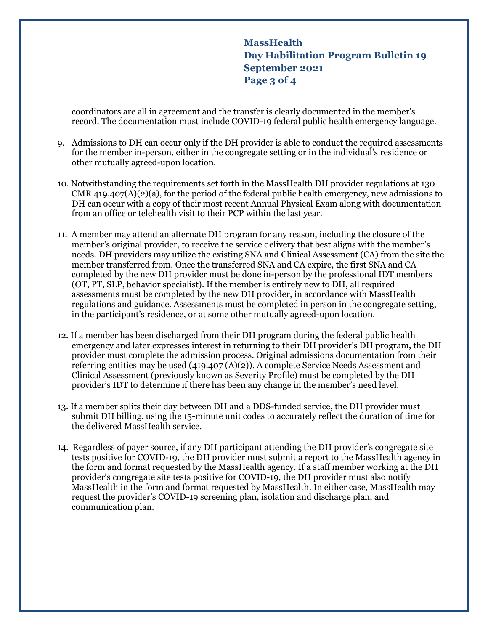**MassHealth Day Habilitation Program Bulletin 19 September 2021 Page 3 of 4**

coordinators are all in agreement and the transfer is clearly documented in the member's record. The documentation must include COVID-19 federal public health emergency language.

- 9. Admissions to DH can occur only if the DH provider is able to conduct the required assessments for the member in-person, either in the congregate setting or in the individual's residence or other mutually agreed-upon location.
- 10. Notwithstanding the requirements set forth in the MassHealth DH provider regulations at 130 CMR 419.407(A)(2)(a), for the period of the federal public health emergency, new admissions to DH can occur with a copy of their most recent Annual Physical Exam along with documentation from an office or telehealth visit to their PCP within the last year.
- 11. A member may attend an alternate DH program for any reason, including the closure of the member's original provider, to receive the service delivery that best aligns with the member's needs. DH providers may utilize the existing SNA and Clinical Assessment (CA) from the site the member transferred from. Once the transferred SNA and CA expire, the first SNA and CA completed by the new DH provider must be done in-person by the professional IDT members (OT, PT, SLP, behavior specialist). If the member is entirely new to DH, all required assessments must be completed by the new DH provider, in accordance with MassHealth regulations and guidance. Assessments must be completed in person in the congregate setting, in the participant's residence, or at some other mutually agreed-upon location.
- 12. If a member has been discharged from their DH program during the federal public health emergency and later expresses interest in returning to their DH provider's DH program, the DH provider must complete the admission process. Original admissions documentation from their referring entities may be used (419.407 (A)(2)). A complete Service Needs Assessment and Clinical Assessment (previously known as Severity Profile) must be completed by the DH provider's IDT to determine if there has been any change in the member's need level.
- 13. If a member splits their day between DH and a DDS-funded service, the DH provider must submit DH billing. using the 15-minute unit codes to accurately reflect the duration of time for the delivered MassHealth service.
- 14. Regardless of payer source, if any DH participant attending the DH provider's congregate site tests positive for COVID-19, the DH provider must submit a report to the MassHealth agency in the form and format requested by the MassHealth agency. If a staff member working at the DH provider's congregate site tests positive for COVID-19, the DH provider must also notify MassHealth in the form and format requested by MassHealth. In either case, MassHealth may request the provider's COVID-19 screening plan, isolation and discharge plan, and communication plan.